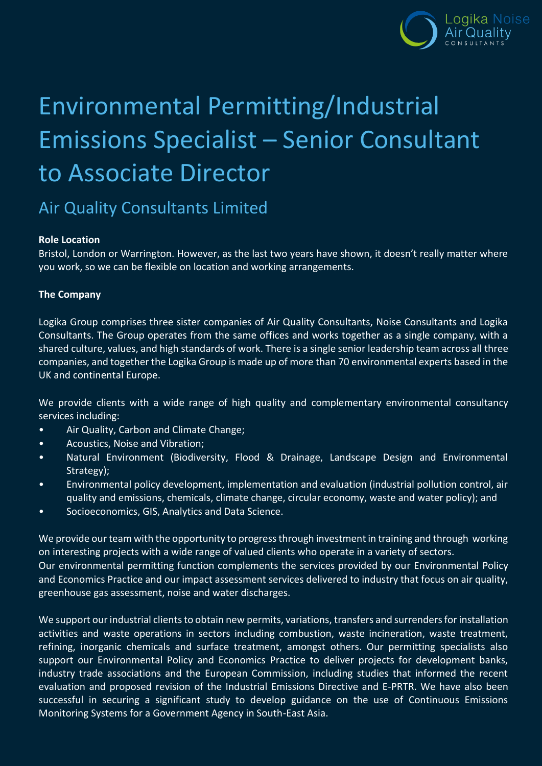

# Environmental Permitting/Industrial Emissions Specialist – Senior Consultant to Associate Director

## Air Quality Consultants Limited

#### **Role Location**

Bristol, London or Warrington. However, as the last two years have shown, it doesn't really matter where you work, so we can be flexible on location and working arrangements.

### **The Company**

Logika Group comprises three sister companies of Air Quality Consultants, Noise Consultants and Logika Consultants. The Group operates from the same offices and works together as a single company, with a shared culture, values, and high standards of work. There is a single senior leadership team across all three companies, and together the Logika Group is made up of more than 70 environmental experts based in the UK and continental Europe.

We provide clients with a wide range of high quality and complementary environmental consultancy services including:

- Air Quality, Carbon and Climate Change;
- Acoustics, Noise and Vibration;
- Natural Environment (Biodiversity, Flood & Drainage, Landscape Design and Environmental Strategy);
- Environmental policy development, implementation and evaluation (industrial pollution control, air quality and emissions, chemicals, climate change, circular economy, waste and water policy); and
- Socioeconomics, GIS, Analytics and Data Science.

We provide our team with the opportunity to progress through investment in training and through working on interesting projects with a wide range of valued clients who operate in a variety of sectors. Our environmental permitting function complements the services provided by our Environmental Policy and Economics Practice and our impact assessment services delivered to industry that focus on air quality, greenhouse gas assessment, noise and water discharges.

We support our industrial clients to obtain new permits, variations, transfers and surrenders for installation activities and waste operations in sectors including combustion, waste incineration, waste treatment, refining, inorganic chemicals and surface treatment, amongst others. Our permitting specialists also support our Environmental Policy and Economics Practice to deliver projects for development banks, industry trade associations and the European Commission, including studies that informed the recent evaluation and proposed revision of the Industrial Emissions Directive and E-PRTR. We have also been successful in securing a significant study to develop guidance on the use of Continuous Emissions Monitoring Systems for a Government Agency in South-East Asia.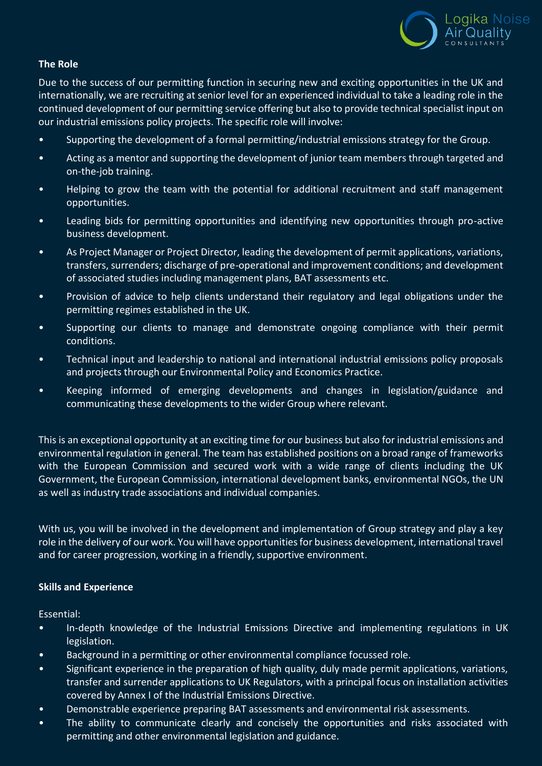

#### **The Role**

Due to the success of our permitting function in securing new and exciting opportunities in the UK and internationally, we are recruiting at senior level for an experienced individual to take a leading role in the continued development of our permitting service offering but also to provide technical specialist input on our industrial emissions policy projects. The specific role will involve:

- Supporting the development of a formal permitting/industrial emissions strategy for the Group.
- Acting as a mentor and supporting the development of junior team members through targeted and on-the-job training.
- Helping to grow the team with the potential for additional recruitment and staff management opportunities.
- Leading bids for permitting opportunities and identifying new opportunities through pro-active business development.
- As Project Manager or Project Director, leading the development of permit applications, variations, transfers, surrenders; discharge of pre-operational and improvement conditions; and development of associated studies including management plans, BAT assessments etc.
- Provision of advice to help clients understand their regulatory and legal obligations under the permitting regimes established in the UK.
- Supporting our clients to manage and demonstrate ongoing compliance with their permit conditions.
- Technical input and leadership to national and international industrial emissions policy proposals and projects through our Environmental Policy and Economics Practice.
- Keeping informed of emerging developments and changes in legislation/guidance and communicating these developments to the wider Group where relevant.

This is an exceptional opportunity at an exciting time for our business but also for industrial emissions and environmental regulation in general. The team has established positions on a broad range of frameworks with the European Commission and secured work with a wide range of clients including the UK Government, the European Commission, international development banks, environmental NGOs, the UN as well as industry trade associations and individual companies.

With us, you will be involved in the development and implementation of Group strategy and play a key role in the delivery of our work. You will have opportunities for business development, international travel and for career progression, working in a friendly, supportive environment.

#### **Skills and Experience**

Essential:

- In-depth knowledge of the Industrial Emissions Directive and implementing regulations in UK legislation.
- Background in a permitting or other environmental compliance focussed role.
- Significant experience in the preparation of high quality, duly made permit applications, variations, transfer and surrender applications to UK Regulators, with a principal focus on installation activities covered by Annex I of the Industrial Emissions Directive.
- Demonstrable experience preparing BAT assessments and environmental risk assessments.
- The ability to communicate clearly and concisely the opportunities and risks associated with permitting and other environmental legislation and guidance.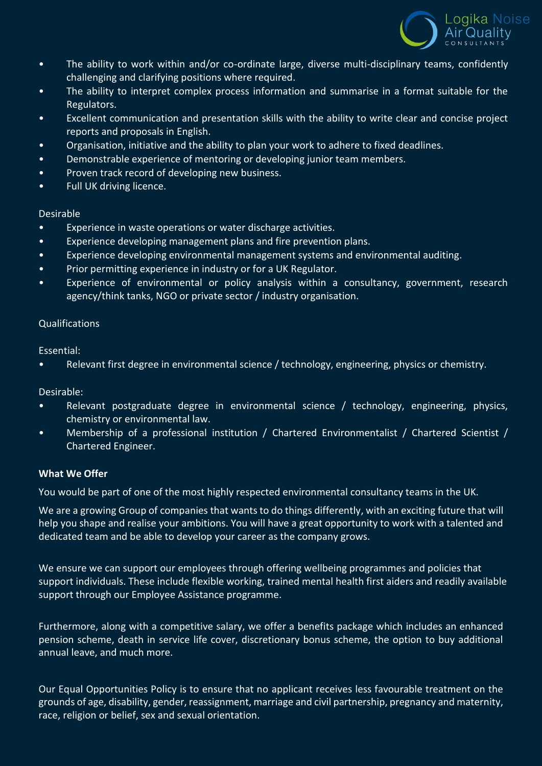

- The ability to work within and/or co-ordinate large, diverse multi-disciplinary teams, confidently challenging and clarifying positions where required.
- The ability to interpret complex process information and summarise in a format suitable for the Regulators.
- Excellent communication and presentation skills with the ability to write clear and concise project reports and proposals in English.
- Organisation, initiative and the ability to plan your work to adhere to fixed deadlines.
- Demonstrable experience of mentoring or developing junior team members.
- Proven track record of developing new business.
- Full UK driving licence.

#### Desirable

- Experience in waste operations or water discharge activities.
- Experience developing management plans and fire prevention plans.
- Experience developing environmental management systems and environmental auditing.
- Prior permitting experience in industry or for a UK Regulator.
- Experience of environmental or policy analysis within a consultancy, government, research agency/think tanks, NGO or private sector / industry organisation.

#### Qualifications

Essential:

• Relevant first degree in environmental science / technology, engineering, physics or chemistry.

Desirable:

- Relevant postgraduate degree in environmental science / technology, engineering, physics, chemistry or environmental law.
- Membership of a professional institution / Chartered Environmentalist / Chartered Scientist / Chartered Engineer.

#### **What We Offer**

You would be part of one of the most highly respected environmental consultancy teams in the UK.

We are a growing Group of companies that wants to do things differently, with an exciting future that will help you shape and realise your ambitions. You will have a great opportunity to work with a talented and dedicated team and be able to develop your career as the company grows.

We ensure we can support our employees through offering wellbeing programmes and policies that support individuals. These include flexible working, trained mental health first aiders and readily available support through our Employee Assistance programme.

Furthermore, along with a competitive salary, we offer a benefits package which includes an enhanced pension scheme, death in service life cover, discretionary bonus scheme, the option to buy additional annual leave, and much more.

Our Equal Opportunities Policy is to ensure that no applicant receives less favourable treatment on the grounds of age, disability, gender, reassignment, marriage and civil partnership, pregnancy and maternity, race, religion or belief, sex and sexual orientation.